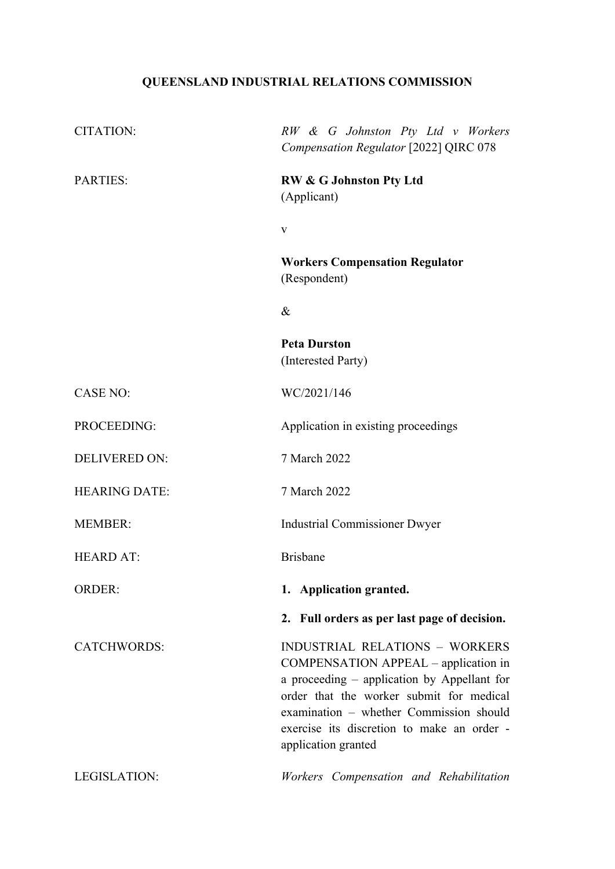# **QUEENSLAND INDUSTRIAL RELATIONS COMMISSION**

| <b>CITATION:</b>     | RW & G Johnston Pty Ltd v Workers<br>Compensation Regulator [2022] QIRC 078                                                                                                                                                                                                              |
|----------------------|------------------------------------------------------------------------------------------------------------------------------------------------------------------------------------------------------------------------------------------------------------------------------------------|
| <b>PARTIES:</b>      | <b>RW &amp; G Johnston Pty Ltd</b><br>(Applicant)                                                                                                                                                                                                                                        |
|                      | V                                                                                                                                                                                                                                                                                        |
|                      | <b>Workers Compensation Regulator</b><br>(Respondent)                                                                                                                                                                                                                                    |
|                      | $\&$                                                                                                                                                                                                                                                                                     |
|                      | <b>Peta Durston</b><br>(Interested Party)                                                                                                                                                                                                                                                |
| <b>CASE NO:</b>      | WC/2021/146                                                                                                                                                                                                                                                                              |
| PROCEEDING:          | Application in existing proceedings                                                                                                                                                                                                                                                      |
| <b>DELIVERED ON:</b> | 7 March 2022                                                                                                                                                                                                                                                                             |
| <b>HEARING DATE:</b> | 7 March 2022                                                                                                                                                                                                                                                                             |
| <b>MEMBER:</b>       | <b>Industrial Commissioner Dwyer</b>                                                                                                                                                                                                                                                     |
| <b>HEARD AT:</b>     | <b>Brisbane</b>                                                                                                                                                                                                                                                                          |
| <b>ORDER:</b>        | 1. Application granted.                                                                                                                                                                                                                                                                  |
|                      | 2. Full orders as per last page of decision.                                                                                                                                                                                                                                             |
| <b>CATCHWORDS:</b>   | <b>INDUSTRIAL RELATIONS - WORKERS</b><br>COMPENSATION APPEAL – application in<br>a proceeding – application by Appellant for<br>order that the worker submit for medical<br>examination - whether Commission should<br>exercise its discretion to make an order -<br>application granted |
| LEGISLATION:         | Workers Compensation and Rehabilitation                                                                                                                                                                                                                                                  |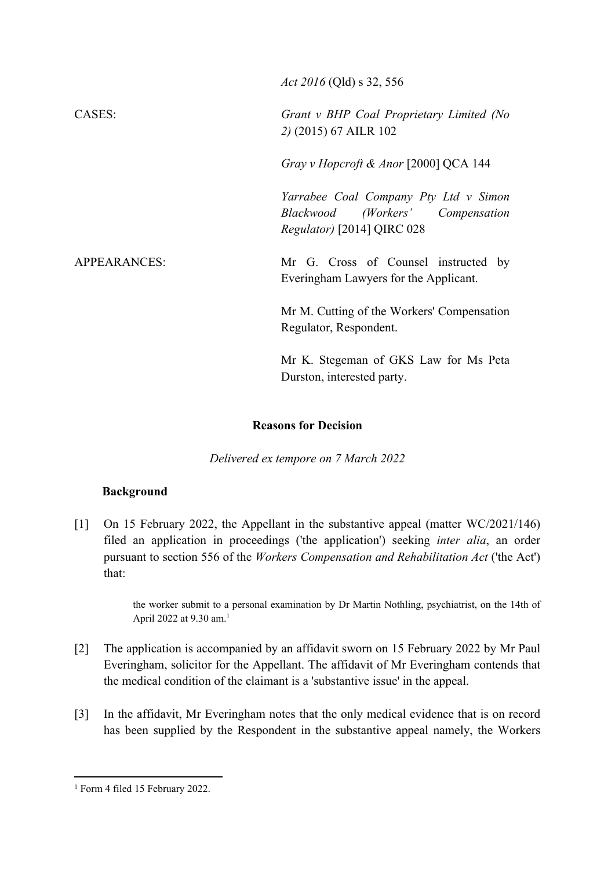*Act 2016* (Qld) s 32, 556 CASES: *Grant v BHP Coal Proprietary Limited (No 2)* (2015) 67 AILR 102 *Gray v Hopcroft & Anor* [2000] QCA 144 *Yarrabee Coal Company Pty Ltd v Simon Blackwood (Workers' Compensation Regulator)* [2014] QIRC 028 APPEARANCES: Mr G. Cross of Counsel instructed by Everingham Lawyers for the Applicant. Mr M. Cutting of the Workers' Compensation Regulator, Respondent. Mr K. Stegeman of GKS Law for Ms Peta Durston, interested party.

#### **Reasons for Decision**

*Delivered ex tempore on 7 March 2022*

#### **Background**

[1] On 15 February 2022, the Appellant in the substantive appeal (matter WC/2021/146) filed an application in proceedings ('the application') seeking *inter alia*, an order pursuant to section 556 of the *Workers Compensation and Rehabilitation Act* ('the Act') that:

> the worker submit to a personal examination by Dr Martin Nothling, psychiatrist, on the 14th of April 2022 at 9.30 am.<sup>1</sup>

- [2] The application is accompanied by an affidavit sworn on 15 February 2022 by Mr Paul Everingham, solicitor for the Appellant. The affidavit of Mr Everingham contends that the medical condition of the claimant is a 'substantive issue' in the appeal.
- [3] In the affidavit, Mr Everingham notes that the only medical evidence that is on record has been supplied by the Respondent in the substantive appeal namely, the Workers

<sup>1</sup> Form 4 filed 15 February 2022.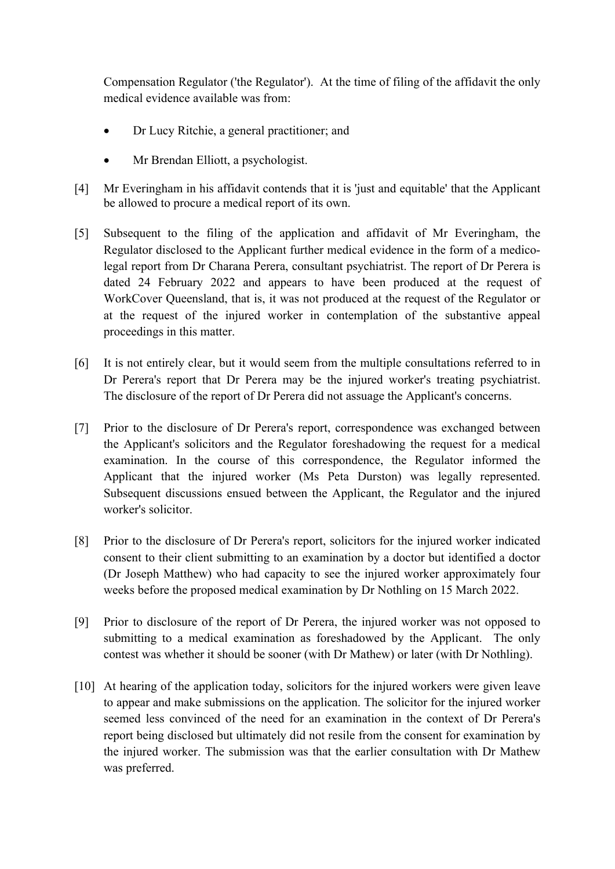Compensation Regulator ('the Regulator'). At the time of filing of the affidavit the only medical evidence available was from:

- Dr Lucy Ritchie, a general practitioner; and
- Mr Brendan Elliott, a psychologist.
- [4] Mr Everingham in his affidavit contends that it is 'just and equitable' that the Applicant be allowed to procure a medical report of its own.
- [5] Subsequent to the filing of the application and affidavit of Mr Everingham, the Regulator disclosed to the Applicant further medical evidence in the form of a medicolegal report from Dr Charana Perera, consultant psychiatrist. The report of Dr Perera is dated 24 February 2022 and appears to have been produced at the request of WorkCover Queensland, that is, it was not produced at the request of the Regulator or at the request of the injured worker in contemplation of the substantive appeal proceedings in this matter.
- [6] It is not entirely clear, but it would seem from the multiple consultations referred to in Dr Perera's report that Dr Perera may be the injured worker's treating psychiatrist. The disclosure of the report of Dr Perera did not assuage the Applicant's concerns.
- [7] Prior to the disclosure of Dr Perera's report, correspondence was exchanged between the Applicant's solicitors and the Regulator foreshadowing the request for a medical examination. In the course of this correspondence, the Regulator informed the Applicant that the injured worker (Ms Peta Durston) was legally represented. Subsequent discussions ensued between the Applicant, the Regulator and the injured worker's solicitor.
- [8] Prior to the disclosure of Dr Perera's report, solicitors for the injured worker indicated consent to their client submitting to an examination by a doctor but identified a doctor (Dr Joseph Matthew) who had capacity to see the injured worker approximately four weeks before the proposed medical examination by Dr Nothling on 15 March 2022.
- [9] Prior to disclosure of the report of Dr Perera, the injured worker was not opposed to submitting to a medical examination as foreshadowed by the Applicant. The only contest was whether it should be sooner (with Dr Mathew) or later (with Dr Nothling).
- [10] At hearing of the application today, solicitors for the injured workers were given leave to appear and make submissions on the application. The solicitor for the injured worker seemed less convinced of the need for an examination in the context of Dr Perera's report being disclosed but ultimately did not resile from the consent for examination by the injured worker. The submission was that the earlier consultation with Dr Mathew was preferred.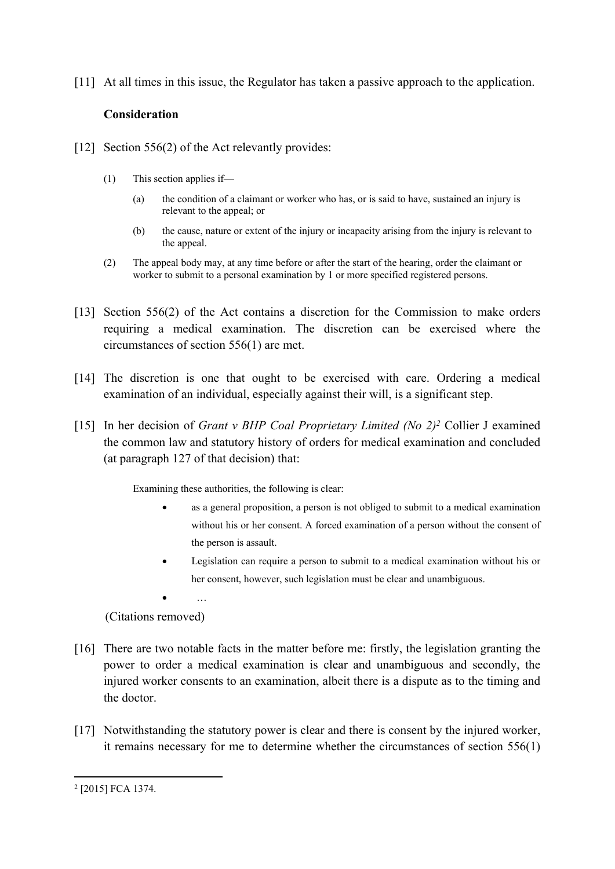[11] At all times in this issue, the Regulator has taken a passive approach to the application.

### **Consideration**

- [12] Section 556(2) of the Act relevantly provides:
	- (1) This section applies if—
		- (a) the condition of a claimant or worker who has, or is said to have, sustained an injury is relevant to the appeal; or
		- (b) the cause, nature or extent of the injury or incapacity arising from the injury is relevant to the appeal.
	- (2) The appeal body may, at any time before or after the start of the hearing, order the claimant or worker to submit to a personal examination by 1 or more specified registered persons.
- [13] Section 556(2) of the Act contains a discretion for the Commission to make orders requiring a medical examination. The discretion can be exercised where the circumstances of section 556(1) are met.
- [14] The discretion is one that ought to be exercised with care. Ordering a medical examination of an individual, especially against their will, is a significant step.
- [15] In her decision of *Grant v BHP Coal Proprietary Limited (No 2)<sup>2</sup>* Collier J examined the common law and statutory history of orders for medical examination and concluded (at paragraph 127 of that decision) that:

Examining these authorities, the following is clear:

- as a general proposition, a person is not obliged to submit to a medical examination without his or her consent. A forced examination of a person without the consent of the person is assault.
- Legislation can require a person to submit to a medical examination without his or her consent, however, such legislation must be clear and unambiguous.
- …

(Citations removed)

- [16] There are two notable facts in the matter before me: firstly, the legislation granting the power to order a medical examination is clear and unambiguous and secondly, the injured worker consents to an examination, albeit there is a dispute as to the timing and the doctor.
- [17] Notwithstanding the statutory power is clear and there is consent by the injured worker, it remains necessary for me to determine whether the circumstances of section 556(1)

<sup>2</sup> [2015] FCA 1374.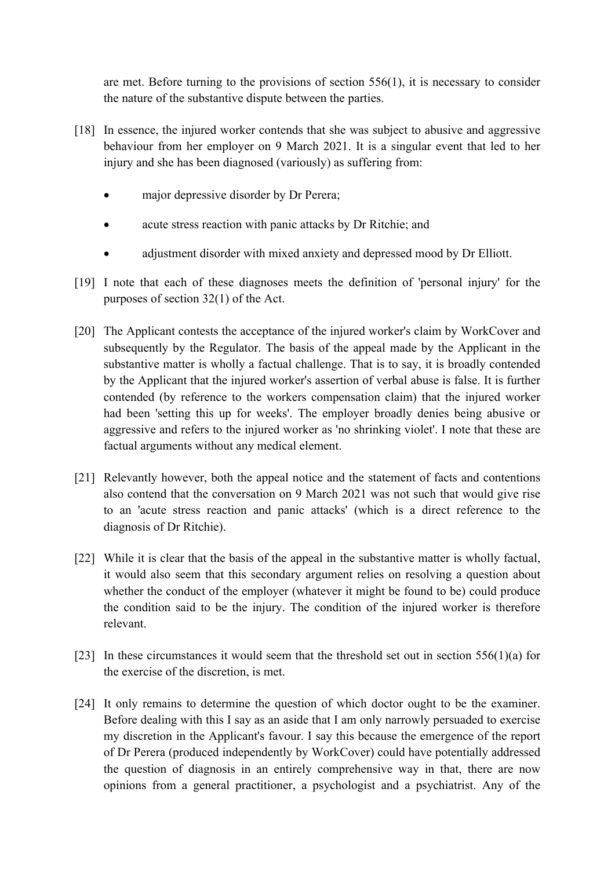are met. Before turning to the provisions of section 556(1), it is necessary to consider the nature of the substantive dispute between the parties.

- [18] In essence, the injured worker contends that she was subject to abusive and aggressive behaviour from her employer on 9 March 2021. It is a singular event that led to her injury and she has been diagnosed (variously) as suffering from:
	- major depressive disorder by Dr Perera;
	- acute stress reaction with panic attacks by Dr Ritchie; and
	- adjustment disorder with mixed anxiety and depressed mood by Dr Elliott.
- [19] I note that each of these diagnoses meets the definition of 'personal injury' for the purposes of section 32(1) of the Act.
- [20] The Applicant contests the acceptance of the injured worker's claim by WorkCover and subsequently by the Regulator. The basis of the appeal made by the Applicant in the substantive matter is wholly a factual challenge. That is to say, it is broadly contended by the Applicant that the injured worker's assertion of verbal abuse is false. It is further contended (by reference to the workers compensation claim) that the injured worker had been 'setting this up for weeks'. The employer broadly denies being abusive or aggressive and refers to the injured worker as 'no shrinking violet'. I note that these are factual arguments without any medical element.
- [21] Relevantly however, both the appeal notice and the statement of facts and contentions also contend that the conversation on 9 March 2021 was not such that would give rise to an 'acute stress reaction and panic attacks' (which is a direct reference to the diagnosis of Dr Ritchie).
- [22] While it is clear that the basis of the appeal in the substantive matter is wholly factual, it would also seem that this secondary argument relies on resolving a question about whether the conduct of the employer (whatever it might be found to be) could produce the condition said to be the injury. The condition of the injured worker is therefore relevant.
- [23] In these circumstances it would seem that the threshold set out in section  $556(1)(a)$  for the exercise of the discretion, is met.
- [24] It only remains to determine the question of which doctor ought to be the examiner. Before dealing with this I say as an aside that I am only narrowly persuaded to exercise my discretion in the Applicant's favour. I say this because the emergence of the report of Dr Perera (produced independently by WorkCover) could have potentially addressed the question of diagnosis in an entirely comprehensive way in that, there are now opinions from a general practitioner, a psychologist and a psychiatrist. Any of the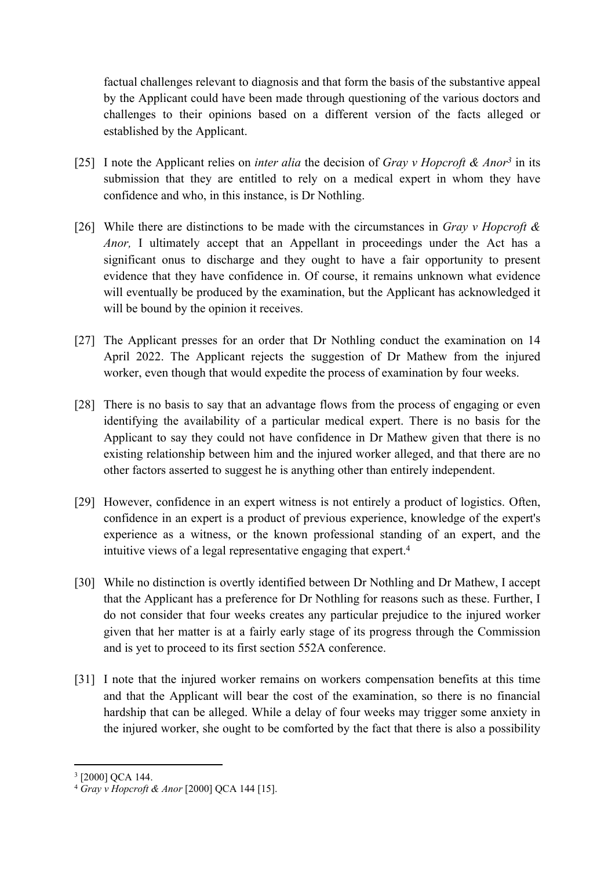factual challenges relevant to diagnosis and that form the basis of the substantive appeal by the Applicant could have been made through questioning of the various doctors and challenges to their opinions based on a different version of the facts alleged or established by the Applicant.

- [25] I note the Applicant relies on *inter alia* the decision of *Gray v Hopcroft & Anor<sup>3</sup>* in its submission that they are entitled to rely on a medical expert in whom they have confidence and who, in this instance, is Dr Nothling.
- [26] While there are distinctions to be made with the circumstances in *Gray v Hopcroft & Anor*, I ultimately accept that an Appellant in proceedings under the Act has a significant onus to discharge and they ought to have a fair opportunity to present evidence that they have confidence in. Of course, it remains unknown what evidence will eventually be produced by the examination, but the Applicant has acknowledged it will be bound by the opinion it receives.
- [27] The Applicant presses for an order that Dr Nothling conduct the examination on 14 April 2022. The Applicant rejects the suggestion of Dr Mathew from the injured worker, even though that would expedite the process of examination by four weeks.
- [28] There is no basis to say that an advantage flows from the process of engaging or even identifying the availability of a particular medical expert. There is no basis for the Applicant to say they could not have confidence in Dr Mathew given that there is no existing relationship between him and the injured worker alleged, and that there are no other factors asserted to suggest he is anything other than entirely independent.
- [29] However, confidence in an expert witness is not entirely a product of logistics. Often, confidence in an expert is a product of previous experience, knowledge of the expert's experience as a witness, or the known professional standing of an expert, and the intuitive views of a legal representative engaging that expert.<sup>4</sup>
- [30] While no distinction is overtly identified between Dr Nothling and Dr Mathew, I accept that the Applicant has a preference for Dr Nothling for reasons such as these. Further, I do not consider that four weeks creates any particular prejudice to the injured worker given that her matter is at a fairly early stage of its progress through the Commission and is yet to proceed to its first section 552A conference.
- [31] I note that the injured worker remains on workers compensation benefits at this time and that the Applicant will bear the cost of the examination, so there is no financial hardship that can be alleged. While a delay of four weeks may trigger some anxiety in the injured worker, she ought to be comforted by the fact that there is also a possibility

<sup>3</sup> [2000] QCA 144.

<sup>4</sup> *Gray v Hopcroft & Anor* [2000] QCA 144 [15].